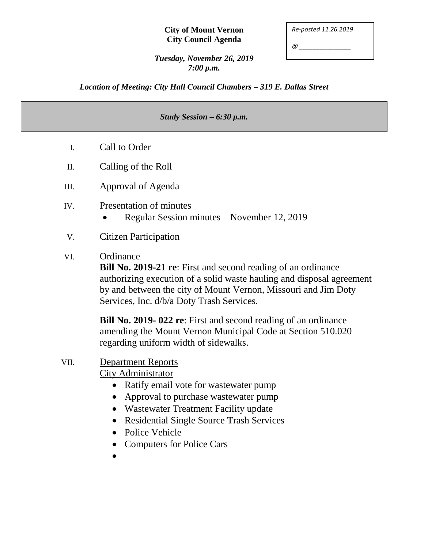#### **City of Mount Vernon City Council Agenda**

| Re-posted 11.26.2019 |  |
|----------------------|--|
|                      |  |

*@ \_\_\_\_\_\_\_\_\_\_\_\_\_\_\_*

*Tuesday, November 26, 2019 7:00 p.m.*

*Location of Meeting: City Hall Council Chambers – 319 E. Dallas Street*

#### *Study Session – 6:30 p.m.*

- I. Call to Order
- II. Calling of the Roll
- III. Approval of Agenda
- IV. Presentation of minutes
	- Regular Session minutes November 12, 2019
- V. Citizen Participation

### VI. Ordinance

**Bill No. 2019-21 re**: First and second reading of an ordinance authorizing execution of a solid waste hauling and disposal agreement by and between the city of Mount Vernon, Missouri and Jim Doty Services, Inc. d/b/a Doty Trash Services.

**Bill No. 2019- 022 re**: First and second reading of an ordinance amending the Mount Vernon Municipal Code at Section 510.020 regarding uniform width of sidewalks.

# VII. Department Reports

City Administrator

- Ratify email vote for wastewater pump
- Approval to purchase wastewater pump
- Wastewater Treatment Facility update
- Residential Single Source Trash Services
- Police Vehicle
- Computers for Police Cars
- $\bullet$